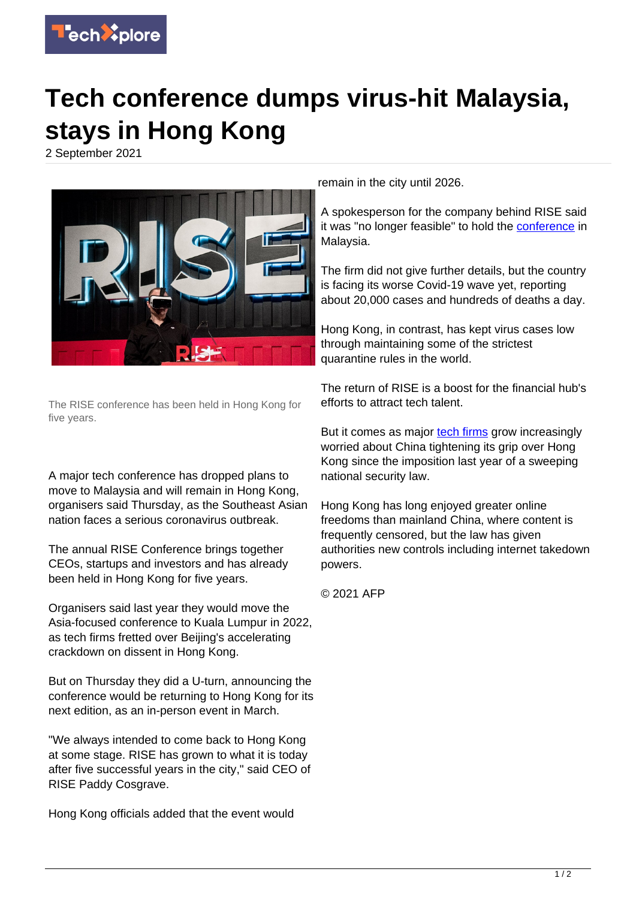

## **Tech conference dumps virus-hit Malaysia, stays in Hong Kong**

2 September 2021



The RISE conference has been held in Hong Kong for five years.

A major tech conference has dropped plans to move to Malaysia and will remain in Hong Kong, organisers said Thursday, as the Southeast Asian nation faces a serious coronavirus outbreak.

The annual RISE Conference brings together CEOs, startups and investors and has already been held in Hong Kong for five years.

Organisers said last year they would move the Asia-focused conference to Kuala Lumpur in 2022, as tech firms fretted over Beijing's accelerating crackdown on dissent in Hong Kong.

But on Thursday they did a U-turn, announcing the conference would be returning to Hong Kong for its next edition, as an in-person event in March.

"We always intended to come back to Hong Kong at some stage. RISE has grown to what it is today after five successful years in the city," said CEO of RISE Paddy Cosgrave.

Hong Kong officials added that the event would

remain in the city until 2026.

A spokesperson for the company behind RISE said it was "no longer feasible" to hold the [conference](https://techxplore.com/tags/conference/) in Malaysia.

The firm did not give further details, but the country is facing its worse Covid-19 wave yet, reporting about 20,000 cases and hundreds of deaths a day.

Hong Kong, in contrast, has kept virus cases low through maintaining some of the strictest quarantine rules in the world.

The return of RISE is a boost for the financial hub's efforts to attract tech talent.

But it comes as major [tech firms](https://techxplore.com/tags/tech+firms/) grow increasingly worried about China tightening its grip over Hong Kong since the imposition last year of a sweeping national security law.

Hong Kong has long enjoyed greater online freedoms than mainland China, where content is frequently censored, but the law has given authorities new controls including internet takedown powers.

© 2021 AFP